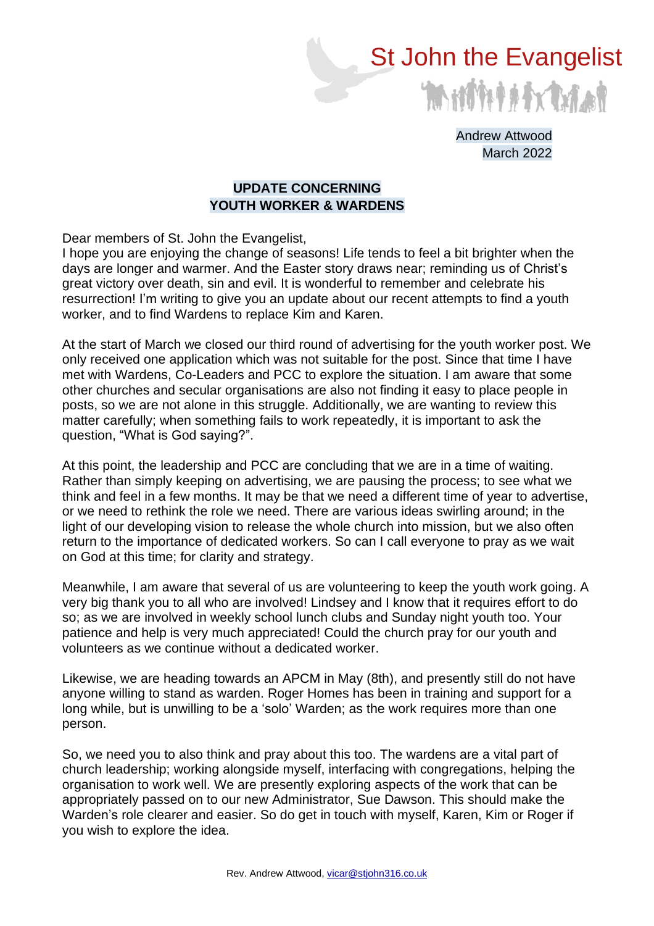

Andrew Attwood March 2022

## **UPDATE CONCERNING YOUTH WORKER & WARDENS**

Dear members of St. John the Evangelist,

I hope you are enjoying the change of seasons! Life tends to feel a bit brighter when the days are longer and warmer. And the Easter story draws near; reminding us of Christ's great victory over death, sin and evil. It is wonderful to remember and celebrate his resurrection! I'm writing to give you an update about our recent attempts to find a youth worker, and to find Wardens to replace Kim and Karen.

At the start of March we closed our third round of advertising for the youth worker post. We only received one application which was not suitable for the post. Since that time I have met with Wardens, Co-Leaders and PCC to explore the situation. I am aware that some other churches and secular organisations are also not finding it easy to place people in posts, so we are not alone in this struggle. Additionally, we are wanting to review this matter carefully; when something fails to work repeatedly, it is important to ask the question, "What is God saying?".

At this point, the leadership and PCC are concluding that we are in a time of waiting. Rather than simply keeping on advertising, we are pausing the process; to see what we think and feel in a few months. It may be that we need a different time of year to advertise, or we need to rethink the role we need. There are various ideas swirling around; in the light of our developing vision to release the whole church into mission, but we also often return to the importance of dedicated workers. So can I call everyone to pray as we wait on God at this time; for clarity and strategy.

Meanwhile, I am aware that several of us are volunteering to keep the youth work going. A very big thank you to all who are involved! Lindsey and I know that it requires effort to do so; as we are involved in weekly school lunch clubs and Sunday night youth too. Your patience and help is very much appreciated! Could the church pray for our youth and volunteers as we continue without a dedicated worker.

Likewise, we are heading towards an APCM in May (8th), and presently still do not have anyone willing to stand as warden. Roger Homes has been in training and support for a long while, but is unwilling to be a 'solo' Warden; as the work requires more than one person.

So, we need you to also think and pray about this too. The wardens are a vital part of church leadership; working alongside myself, interfacing with congregations, helping the organisation to work well. We are presently exploring aspects of the work that can be appropriately passed on to our new Administrator, Sue Dawson. This should make the Warden's role clearer and easier. So do get in touch with myself, Karen, Kim or Roger if you wish to explore the idea.